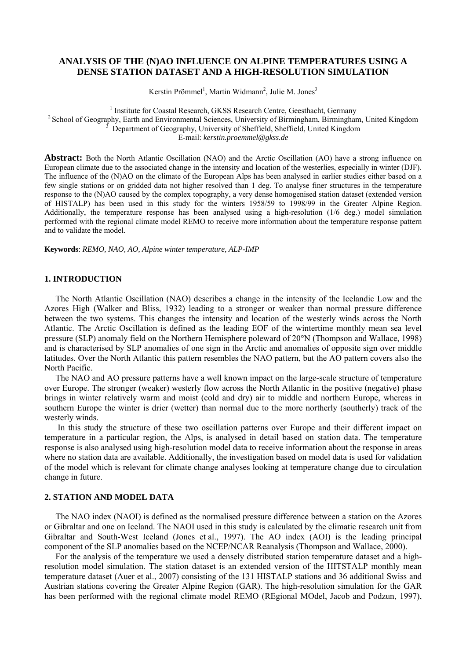# **ANALYSIS OF THE (N)AO INFLUENCE ON ALPINE TEMPERATURES USING A DENSE STATION DATASET AND A HIGH-RESOLUTION SIMULATION**

Kerstin Prömmel<sup>1</sup>, Martin Widmann<sup>2</sup>, Julie M. Jones<sup>3</sup>

<sup>1</sup> Institute for Coastal Research, GKSS Research Centre, Geesthacht, Germany <sup>2</sup> School of Geography, Earth and Environmental Sciences, University of Birmingham, Birmingham, United Kingdom Department of Geography, University of Sheffield, Sheffield, United Kingdom E-mail: *kerstin.proemmel@gkss.de*

**Abstract:** Both the North Atlantic Oscillation (NAO) and the Arctic Oscillation (AO) have a strong influence on European climate due to the associated change in the intensity and location of the westerlies, especially in winter (DJF). The influence of the (N)AO on the climate of the European Alps has been analysed in earlier studies either based on a few single stations or on gridded data not higher resolved than 1 deg. To analyse finer structures in the temperature response to the (N)AO caused by the complex topography, a very dense homogenised station dataset (extended version of HISTALP) has been used in this study for the winters 1958/59 to 1998/99 in the Greater Alpine Region. Additionally, the temperature response has been analysed using a high-resolution (1/6 deg.) model simulation performed with the regional climate model REMO to receive more information about the temperature response pattern and to validate the model.

**Keywords**: *REMO, NAO, AO, Alpine winter temperature, ALP-IMP* 

### **1. INTRODUCTION**

The North Atlantic Oscillation (NAO) describes a change in the intensity of the Icelandic Low and the Azores High (Walker and Bliss, 1932) leading to a stronger or weaker than normal pressure difference between the two systems. This changes the intensity and location of the westerly winds across the North Atlantic. The Arctic Oscillation is defined as the leading EOF of the wintertime monthly mean sea level pressure (SLP) anomaly field on the Northern Hemisphere poleward of 20°N (Thompson and Wallace, 1998) and is characterised by SLP anomalies of one sign in the Arctic and anomalies of opposite sign over middle latitudes. Over the North Atlantic this pattern resembles the NAO pattern, but the AO pattern covers also the North Pacific.

The NAO and AO pressure patterns have a well known impact on the large-scale structure of temperature over Europe. The stronger (weaker) westerly flow across the North Atlantic in the positive (negative) phase brings in winter relatively warm and moist (cold and dry) air to middle and northern Europe, whereas in southern Europe the winter is drier (wetter) than normal due to the more northerly (southerly) track of the westerly winds.

 In this study the structure of these two oscillation patterns over Europe and their different impact on temperature in a particular region, the Alps, is analysed in detail based on station data. The temperature response is also analysed using high-resolution model data to receive information about the response in areas where no station data are available. Additionally, the investigation based on model data is used for validation of the model which is relevant for climate change analyses looking at temperature change due to circulation change in future.

### **2. STATION AND MODEL DATA**

The NAO index (NAOI) is defined as the normalised pressure difference between a station on the Azores or Gibraltar and one on Iceland. The NAOI used in this study is calculated by the climatic research unit from Gibraltar and South-West Iceland (Jones et al., 1997). The AO index (AOI) is the leading principal component of the SLP anomalies based on the NCEP/NCAR Reanalysis (Thompson and Wallace, 2000).

For the analysis of the temperature we used a densely distributed station temperature dataset and a highresolution model simulation. The station dataset is an extended version of the HITSTALP monthly mean temperature dataset (Auer et al., 2007) consisting of the 131 HISTALP stations and 36 additional Swiss and Austrian stations covering the Greater Alpine Region (GAR). The high-resolution simulation for the GAR has been performed with the regional climate model REMO (REgional MOdel, Jacob and Podzun, 1997),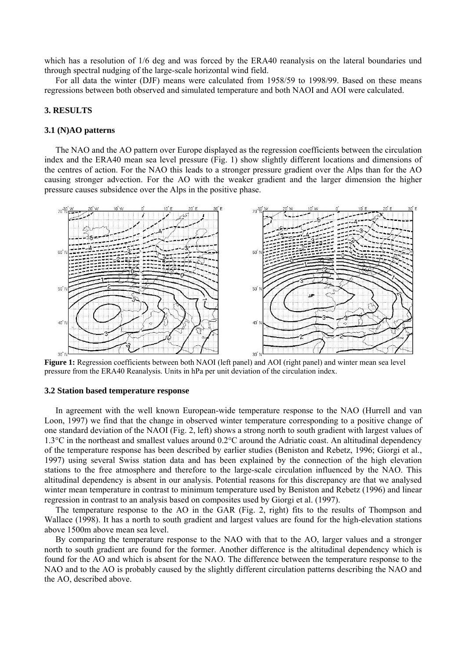which has a resolution of  $1/6$  deg and was forced by the ERA40 reanalysis on the lateral boundaries und through spectral nudging of the large-scale horizontal wind field.

For all data the winter (DJF) means were calculated from 1958/59 to 1998/99. Based on these means regressions between both observed and simulated temperature and both NAOI and AOI were calculated.

## **3. RESULTS**

#### **3.1 (N)AO patterns**

The NAO and the AO pattern over Europe displayed as the regression coefficients between the circulation index and the ERA40 mean sea level pressure (Fig. 1) show slightly different locations and dimensions of the centres of action. For the NAO this leads to a stronger pressure gradient over the Alps than for the AO causing stronger advection. For the AO with the weaker gradient and the larger dimension the higher pressure causes subsidence over the Alps in the positive phase.



**Figure 1:** Regression coefficients between both NAOI (left panel) and AOI (right panel) and winter mean sea level pressure from the ERA40 Reanalysis. Units in hPa per unit deviation of the circulation index.

#### **3.2 Station based temperature response**

In agreement with the well known European-wide temperature response to the NAO (Hurrell and van Loon, 1997) we find that the change in observed winter temperature corresponding to a positive change of one standard deviation of the NAOI (Fig. 2, left) shows a strong north to south gradient with largest values of 1.3°C in the northeast and smallest values around 0.2°C around the Adriatic coast. An altitudinal dependency of the temperature response has been described by earlier studies (Beniston and Rebetz, 1996; Giorgi et al., 1997) using several Swiss station data and has been explained by the connection of the high elevation stations to the free atmosphere and therefore to the large-scale circulation influenced by the NAO. This altitudinal dependency is absent in our analysis. Potential reasons for this discrepancy are that we analysed winter mean temperature in contrast to minimum temperature used by Beniston and Rebetz (1996) and linear regression in contrast to an analysis based on composites used by Giorgi et al. (1997).

The temperature response to the AO in the GAR (Fig. 2, right) fits to the results of Thompson and Wallace (1998). It has a north to south gradient and largest values are found for the high-elevation stations above 1500m above mean sea level.

By comparing the temperature response to the NAO with that to the AO, larger values and a stronger north to south gradient are found for the former. Another difference is the altitudinal dependency which is found for the AO and which is absent for the NAO. The difference between the temperature response to the NAO and to the AO is probably caused by the slightly different circulation patterns describing the NAO and the AO, described above.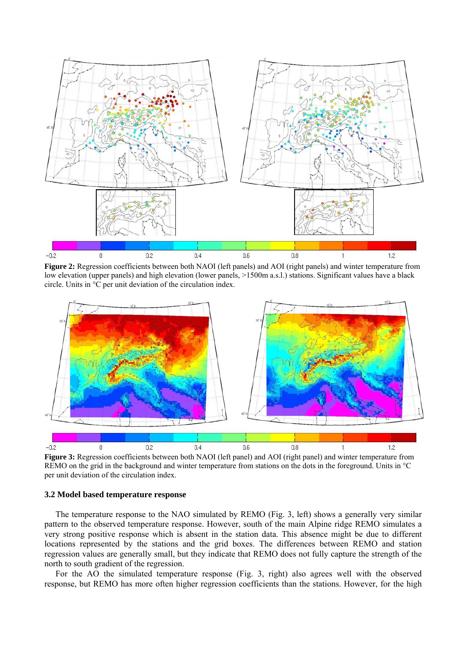

**Figure 2:** Regression coefficients between both NAOI (left panels) and AOI (right panels) and winter temperature from low elevation (upper panels) and high elevation (lower panels,  $>1500$ m a.s.l.) stations. Significant values have a black circle. Units in °C per unit deviation of the circulation index.



**Figure 3:** Regression coefficients between both NAOI (left panel) and AOI (right panel) and winter temperature from REMO on the grid in the background and winter temperature from stations on the dots in the foreground. Units in °C per unit deviation of the circulation index.

### **3.2 Model based temperature response**

The temperature response to the NAO simulated by REMO (Fig. 3, left) shows a generally very similar pattern to the observed temperature response. However, south of the main Alpine ridge REMO simulates a very strong positive response which is absent in the station data. This absence might be due to different locations represented by the stations and the grid boxes. The differences between REMO and station regression values are generally small, but they indicate that REMO does not fully capture the strength of the north to south gradient of the regression.

For the AO the simulated temperature response (Fig. 3, right) also agrees well with the observed response, but REMO has more often higher regression coefficients than the stations. However, for the high